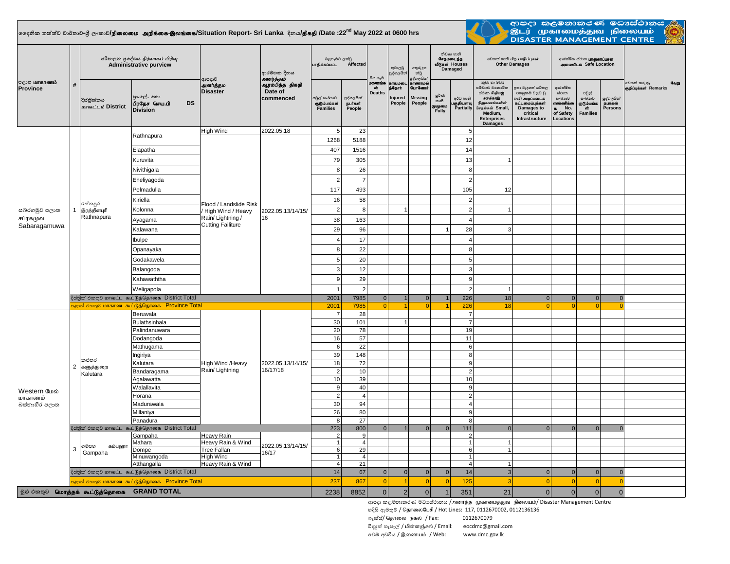## **දදනික තත්ත්ව වාර්තාව-ශ්රී ලංකාව/**epiyik mwpf;if-,yq;if**/Situation Report- Sri Lanka දිනය/**jpfjp **/Date :22nd May 2022 at 0600 hrs**



| ආපදා කලමනාකරණ මධාස්ථානය .<br>இடர் முகாமைத்துவ நிலையம் **DISASTER MANAGEMENT CENTRE** 

| <b>்குற மாகாணம்</b><br>කුඩා හා මධා<br>වෙනත් කරුණු<br>மரணங்க<br>ள்<br>காணாமல்<br>வேறு<br>ஆரம்பித்த திகதி<br><b>ETLILDED</b><br>$\#$<br>அனர்த்தம<br>ந்தோர்<br>ආරක්ෂිත<br><b>GunGermit</b><br>කා වැදගත් යටිතල<br>පරිමාණ වාාපාරික<br>ஞறிப்புக்கள் Remarks<br>Province<br>Date of<br><b>Disaster</b><br>Deaths<br>ස්ථාන හිறியஇ<br>පහසුකම් වලට වූ<br>ස්ථාන<br>පවුල්<br>ల్లరి లా<br>පුා.ලේ. කො<br><b>Missing</b><br>commenced<br>පවුල් සංඛායව<br>පුද්ගලයින්<br>Injured<br>අර්ධ හානි<br>ு அடிப்படைக்<br><br>മംഖാല<br>நடுத்தரஇ<br>පුද්ගලයින්<br>සංඛාගව<br>දිස්තික්කය<br>හානි<br>பிரதேச செய.பி<br><b>DS</b><br>குடும்பங்கள்<br>People<br>People<br>எண்ணிக்க<br>நபர்கள்<br>பகுதியளவு<br>நிறுவனங்களின்<br>கட்டமைப்பக்கள்<br>தடும்பங்க<br>நபாகள்<br>மாவட்டம் District<br>முழுமை<br>Fully<br>Families<br>Partially<br>சேதங்கள் Small,<br>No.<br>.<br>Persons<br>People<br>Damages to<br><b>GİT</b><br>$\bullet$<br><b>Division</b><br>Medium.<br>of Safety<br>critical<br><b>Families</b><br><b>Enterprises</b><br>Infrastructure<br>Locations<br><b>Damages</b><br>23<br>High Wind<br>2022.05.18<br>5<br>5<br>Rathnapura<br>1268<br>5188<br>12<br>407<br>1516<br>14<br>Elapatha<br>79<br>305<br>13<br>Kuruvita<br>26<br>8<br>Nivithigala<br>$\mathbf{a}$<br>$\overline{7}$<br>$\overline{2}$<br>$\overline{2}$<br>Eheliyagoda<br>493<br>105<br>Pelmadulla<br>117<br>12<br>Kiriella<br>16<br>58<br>$\overline{2}$<br>රත්නපුර<br>Flood / Landslide Risk<br>$\overline{2}$<br>8<br>இரத்தினபுரி<br>$\overline{2}$<br>සබරගමුව පලාත<br>Kolonna<br>$\overline{1}$<br>High Wind / Heavy<br>2022.05.13/14/15/<br>Rathnapura<br>Rain/Lightning /<br>16<br>சப்ரகமுவ<br>38<br>163<br>$\overline{4}$<br>Ayagama<br><b>Cutting Failiture</b><br>Sabaragamuwa<br>29<br>96<br>28<br>3<br>Kalawana<br>1<br>17<br>Ibulpe<br>4<br>$\overline{4}$<br>8<br>22<br>8<br>Opanayaka<br>20<br>5<br>5<br>Godakawela<br>12<br>$\sqrt{3}$<br>3<br>Balangoda<br>29<br>9<br>9<br>Kahawaththa<br>$\overline{2}$<br>$\overline{2}$<br>Weligapola<br>දිස්තික් එකතුව மாவட்ட கூட்டுத்தொகை District Total<br>226<br>2001<br>7985<br> 0 <br>18<br>$\mathbf{1}$<br> 0 <br>$\overline{0}$<br>$\overline{0}$<br>$\Omega$<br>$\overline{0}$<br><mark>පළාත් එකතුව மாகாண கூட்டுத்தொகை Province Total</mark><br>2001<br>7985<br> 0 <br>$\Omega$<br>226<br>18<br>$\Omega$<br>$\Omega$<br>$\blacktriangleleft$<br>1<br>$\Omega$<br>$\Omega$<br>$\overline{7}$<br>Beruwala<br>$\overline{7}$<br>28<br>$\overline{7}$<br>Bulathsinhala<br>30<br>101<br>$\overline{1}$<br>20<br>78<br>Palindanuwara<br>19<br>57<br>16<br>11<br>Dodangoda<br>22<br>6<br>6<br>Mathugama<br>39<br>148<br>8<br>Ingiriya<br>කළුතර<br>18<br>72<br>Kalutara<br>9<br>High Wind /Heavy<br>2022.05.13/14/15/<br>$\overline{2}$<br>களுத்துறை<br>16/17/18<br>Rain/ Lightning<br>$\overline{2}$<br>10<br>$\overline{2}$<br>Bandaragama<br>Kalutara<br>10<br>39<br>10<br>Agalawatta<br>40<br>Walallavita<br>9<br>9<br>Western மேல்<br>$\overline{2}$<br>$\overline{2}$<br>$\overline{4}$<br>Horana<br>மாகாணம்<br>94<br>30<br>Madurawala<br>$\overline{4}$<br>බස්නාහිර පලාත<br>26<br>80<br>9<br>Millaniya<br>27<br>Panadura<br>8<br>8<br>දිස්තික් එකතුව மாவட்ட கூட்டுத்தொகை District Total<br>223<br>800<br>111<br>$\Omega$<br>$\Omega$<br>$\Omega$<br>$\Omega$<br>$\Omega$<br>$\Omega$<br>$\Omega$<br>$\Omega$<br>Gampaha<br>Heavy Rain<br>$\overline{2}$<br>9<br>$\overline{2}$<br>Mahara<br>4 <sup>1</sup><br>Heavy Rain & Wind<br>$\overline{1}$<br>$\overline{1}$<br>1<br>2022.05.13/14/15/<br>ගම්පහ<br>கம்பஹா<br>$\ensuremath{\mathsf{3}}$<br>29<br>6<br><b>Tree Fallan</b><br>6<br>Dompe<br>1<br>Gampaha<br>16/17<br>High Wind<br>$\vert$ 1<br>$\overline{4}$<br>$\overline{1}$<br>Minuwangoda<br>21<br>Atthangalla<br>Heavy Rain & Wind<br>$\overline{4}$<br>$\overline{4}$<br>$\overline{1}$<br> 0 <br> 0 <br>$\overline{3}$<br>$\mathbf{0}$<br>14<br>67<br> 0 <br>14<br>දිස්තික් එකතුව மாவட்ட கூட்டுத்தொகை District Total<br> 0 <br>$\Omega$<br>$\mathbf{0}$<br>$\Omega$<br><mark>் அனி மீனை கூட்டுத்தொகை Province Total</mark><br>$\Omega$ |  |  | පරිපාලන පුදේශය நிர்வாகப் பிரிவு<br><b>Administrative purview</b> |  |       | ආරම්භක දිනය<br>அனர்த்தம் | බලපෑමට ලක්වු<br>பாதிக்கப்பட்ட<br>Affected |     | මිය යැම | තුවාලවු<br>පුද්ගලයින් | අතුරුදහ<br>න්වූ<br>පුද්ගලයින් | නිවාස හානි<br>சேதமடைந்த<br>வீடுகள் Houses<br>Damaged |     | லிகை வகி பிற பாதிப்புகள்<br><b>Other Damages</b> |          | ආරක්ෂිත ස්ථාන <b>பாதுகாப்பான</b><br><b>SAND SALE CONTROLS AND STATE</b> |          |          |  |
|---------------------------------------------------------------------------------------------------------------------------------------------------------------------------------------------------------------------------------------------------------------------------------------------------------------------------------------------------------------------------------------------------------------------------------------------------------------------------------------------------------------------------------------------------------------------------------------------------------------------------------------------------------------------------------------------------------------------------------------------------------------------------------------------------------------------------------------------------------------------------------------------------------------------------------------------------------------------------------------------------------------------------------------------------------------------------------------------------------------------------------------------------------------------------------------------------------------------------------------------------------------------------------------------------------------------------------------------------------------------------------------------------------------------------------------------------------------------------------------------------------------------------------------------------------------------------------------------------------------------------------------------------------------------------------------------------------------------------------------------------------------------------------------------------------------------------------------------------------------------------------------------------------------------------------------------------------------------------------------------------------------------------------------------------------------------------------------------------------------------------------------------------------------------------------------------------------------------------------------------------------------------------------------------------------------------------------------------------------------------------------------------------------------------------------------------------------------------------------------------------------------------------------------------------------------------------------------------------------------------------------------------------------------------------------------------------------------------------------------------------------------------------------------------------------------------------------------------------------------------------------------------------------------------------------------------------------------------------------------------------------------------------------------------------------------------------------------------------------------------------------------------------------------------------------------------------------------------------------------------------------------------------------------------------------------------------------------------------------------------------------------------------------------------------------------------------------------------------------------------------------------------------------------------------------------------------------------------------------------------------------------------------------------------------------------------------------------------------------------------------------------------------------------------------------------------------------------------------------------------------------------------------------------------------------------------------------------------------------------------------------------------------------------------------------|--|--|------------------------------------------------------------------|--|-------|--------------------------|-------------------------------------------|-----|---------|-----------------------|-------------------------------|------------------------------------------------------|-----|--------------------------------------------------|----------|-------------------------------------------------------------------------|----------|----------|--|
|                                                                                                                                                                                                                                                                                                                                                                                                                                                                                                                                                                                                                                                                                                                                                                                                                                                                                                                                                                                                                                                                                                                                                                                                                                                                                                                                                                                                                                                                                                                                                                                                                                                                                                                                                                                                                                                                                                                                                                                                                                                                                                                                                                                                                                                                                                                                                                                                                                                                                                                                                                                                                                                                                                                                                                                                                                                                                                                                                                                                                                                                                                                                                                                                                                                                                                                                                                                                                                                                                                                                                                                                                                                                                                                                                                                                                                                                                                                                                                                                                                                         |  |  |                                                                  |  | ආපදාව |                          |                                           |     |         |                       |                               |                                                      |     |                                                  |          |                                                                         |          |          |  |
|                                                                                                                                                                                                                                                                                                                                                                                                                                                                                                                                                                                                                                                                                                                                                                                                                                                                                                                                                                                                                                                                                                                                                                                                                                                                                                                                                                                                                                                                                                                                                                                                                                                                                                                                                                                                                                                                                                                                                                                                                                                                                                                                                                                                                                                                                                                                                                                                                                                                                                                                                                                                                                                                                                                                                                                                                                                                                                                                                                                                                                                                                                                                                                                                                                                                                                                                                                                                                                                                                                                                                                                                                                                                                                                                                                                                                                                                                                                                                                                                                                                         |  |  |                                                                  |  |       |                          |                                           |     |         |                       |                               |                                                      |     |                                                  |          |                                                                         |          |          |  |
|                                                                                                                                                                                                                                                                                                                                                                                                                                                                                                                                                                                                                                                                                                                                                                                                                                                                                                                                                                                                                                                                                                                                                                                                                                                                                                                                                                                                                                                                                                                                                                                                                                                                                                                                                                                                                                                                                                                                                                                                                                                                                                                                                                                                                                                                                                                                                                                                                                                                                                                                                                                                                                                                                                                                                                                                                                                                                                                                                                                                                                                                                                                                                                                                                                                                                                                                                                                                                                                                                                                                                                                                                                                                                                                                                                                                                                                                                                                                                                                                                                                         |  |  |                                                                  |  |       |                          |                                           |     |         |                       |                               |                                                      |     |                                                  |          |                                                                         |          |          |  |
|                                                                                                                                                                                                                                                                                                                                                                                                                                                                                                                                                                                                                                                                                                                                                                                                                                                                                                                                                                                                                                                                                                                                                                                                                                                                                                                                                                                                                                                                                                                                                                                                                                                                                                                                                                                                                                                                                                                                                                                                                                                                                                                                                                                                                                                                                                                                                                                                                                                                                                                                                                                                                                                                                                                                                                                                                                                                                                                                                                                                                                                                                                                                                                                                                                                                                                                                                                                                                                                                                                                                                                                                                                                                                                                                                                                                                                                                                                                                                                                                                                                         |  |  |                                                                  |  |       |                          |                                           |     |         |                       |                               |                                                      |     |                                                  |          |                                                                         |          |          |  |
|                                                                                                                                                                                                                                                                                                                                                                                                                                                                                                                                                                                                                                                                                                                                                                                                                                                                                                                                                                                                                                                                                                                                                                                                                                                                                                                                                                                                                                                                                                                                                                                                                                                                                                                                                                                                                                                                                                                                                                                                                                                                                                                                                                                                                                                                                                                                                                                                                                                                                                                                                                                                                                                                                                                                                                                                                                                                                                                                                                                                                                                                                                                                                                                                                                                                                                                                                                                                                                                                                                                                                                                                                                                                                                                                                                                                                                                                                                                                                                                                                                                         |  |  |                                                                  |  |       |                          |                                           |     |         |                       |                               |                                                      |     |                                                  |          |                                                                         |          |          |  |
|                                                                                                                                                                                                                                                                                                                                                                                                                                                                                                                                                                                                                                                                                                                                                                                                                                                                                                                                                                                                                                                                                                                                                                                                                                                                                                                                                                                                                                                                                                                                                                                                                                                                                                                                                                                                                                                                                                                                                                                                                                                                                                                                                                                                                                                                                                                                                                                                                                                                                                                                                                                                                                                                                                                                                                                                                                                                                                                                                                                                                                                                                                                                                                                                                                                                                                                                                                                                                                                                                                                                                                                                                                                                                                                                                                                                                                                                                                                                                                                                                                                         |  |  |                                                                  |  |       |                          |                                           |     |         |                       |                               |                                                      |     |                                                  |          |                                                                         |          |          |  |
|                                                                                                                                                                                                                                                                                                                                                                                                                                                                                                                                                                                                                                                                                                                                                                                                                                                                                                                                                                                                                                                                                                                                                                                                                                                                                                                                                                                                                                                                                                                                                                                                                                                                                                                                                                                                                                                                                                                                                                                                                                                                                                                                                                                                                                                                                                                                                                                                                                                                                                                                                                                                                                                                                                                                                                                                                                                                                                                                                                                                                                                                                                                                                                                                                                                                                                                                                                                                                                                                                                                                                                                                                                                                                                                                                                                                                                                                                                                                                                                                                                                         |  |  |                                                                  |  |       |                          |                                           |     |         |                       |                               |                                                      |     |                                                  |          |                                                                         |          |          |  |
|                                                                                                                                                                                                                                                                                                                                                                                                                                                                                                                                                                                                                                                                                                                                                                                                                                                                                                                                                                                                                                                                                                                                                                                                                                                                                                                                                                                                                                                                                                                                                                                                                                                                                                                                                                                                                                                                                                                                                                                                                                                                                                                                                                                                                                                                                                                                                                                                                                                                                                                                                                                                                                                                                                                                                                                                                                                                                                                                                                                                                                                                                                                                                                                                                                                                                                                                                                                                                                                                                                                                                                                                                                                                                                                                                                                                                                                                                                                                                                                                                                                         |  |  |                                                                  |  |       |                          |                                           |     |         |                       |                               |                                                      |     |                                                  |          |                                                                         |          |          |  |
|                                                                                                                                                                                                                                                                                                                                                                                                                                                                                                                                                                                                                                                                                                                                                                                                                                                                                                                                                                                                                                                                                                                                                                                                                                                                                                                                                                                                                                                                                                                                                                                                                                                                                                                                                                                                                                                                                                                                                                                                                                                                                                                                                                                                                                                                                                                                                                                                                                                                                                                                                                                                                                                                                                                                                                                                                                                                                                                                                                                                                                                                                                                                                                                                                                                                                                                                                                                                                                                                                                                                                                                                                                                                                                                                                                                                                                                                                                                                                                                                                                                         |  |  |                                                                  |  |       |                          |                                           |     |         |                       |                               |                                                      |     |                                                  |          |                                                                         |          |          |  |
|                                                                                                                                                                                                                                                                                                                                                                                                                                                                                                                                                                                                                                                                                                                                                                                                                                                                                                                                                                                                                                                                                                                                                                                                                                                                                                                                                                                                                                                                                                                                                                                                                                                                                                                                                                                                                                                                                                                                                                                                                                                                                                                                                                                                                                                                                                                                                                                                                                                                                                                                                                                                                                                                                                                                                                                                                                                                                                                                                                                                                                                                                                                                                                                                                                                                                                                                                                                                                                                                                                                                                                                                                                                                                                                                                                                                                                                                                                                                                                                                                                                         |  |  |                                                                  |  |       |                          |                                           |     |         |                       |                               |                                                      |     |                                                  |          |                                                                         |          |          |  |
|                                                                                                                                                                                                                                                                                                                                                                                                                                                                                                                                                                                                                                                                                                                                                                                                                                                                                                                                                                                                                                                                                                                                                                                                                                                                                                                                                                                                                                                                                                                                                                                                                                                                                                                                                                                                                                                                                                                                                                                                                                                                                                                                                                                                                                                                                                                                                                                                                                                                                                                                                                                                                                                                                                                                                                                                                                                                                                                                                                                                                                                                                                                                                                                                                                                                                                                                                                                                                                                                                                                                                                                                                                                                                                                                                                                                                                                                                                                                                                                                                                                         |  |  |                                                                  |  |       |                          |                                           |     |         |                       |                               |                                                      |     |                                                  |          |                                                                         |          |          |  |
|                                                                                                                                                                                                                                                                                                                                                                                                                                                                                                                                                                                                                                                                                                                                                                                                                                                                                                                                                                                                                                                                                                                                                                                                                                                                                                                                                                                                                                                                                                                                                                                                                                                                                                                                                                                                                                                                                                                                                                                                                                                                                                                                                                                                                                                                                                                                                                                                                                                                                                                                                                                                                                                                                                                                                                                                                                                                                                                                                                                                                                                                                                                                                                                                                                                                                                                                                                                                                                                                                                                                                                                                                                                                                                                                                                                                                                                                                                                                                                                                                                                         |  |  |                                                                  |  |       |                          |                                           |     |         |                       |                               |                                                      |     |                                                  |          |                                                                         |          |          |  |
|                                                                                                                                                                                                                                                                                                                                                                                                                                                                                                                                                                                                                                                                                                                                                                                                                                                                                                                                                                                                                                                                                                                                                                                                                                                                                                                                                                                                                                                                                                                                                                                                                                                                                                                                                                                                                                                                                                                                                                                                                                                                                                                                                                                                                                                                                                                                                                                                                                                                                                                                                                                                                                                                                                                                                                                                                                                                                                                                                                                                                                                                                                                                                                                                                                                                                                                                                                                                                                                                                                                                                                                                                                                                                                                                                                                                                                                                                                                                                                                                                                                         |  |  |                                                                  |  |       |                          |                                           |     |         |                       |                               |                                                      |     |                                                  |          |                                                                         |          |          |  |
|                                                                                                                                                                                                                                                                                                                                                                                                                                                                                                                                                                                                                                                                                                                                                                                                                                                                                                                                                                                                                                                                                                                                                                                                                                                                                                                                                                                                                                                                                                                                                                                                                                                                                                                                                                                                                                                                                                                                                                                                                                                                                                                                                                                                                                                                                                                                                                                                                                                                                                                                                                                                                                                                                                                                                                                                                                                                                                                                                                                                                                                                                                                                                                                                                                                                                                                                                                                                                                                                                                                                                                                                                                                                                                                                                                                                                                                                                                                                                                                                                                                         |  |  |                                                                  |  |       |                          |                                           |     |         |                       |                               |                                                      |     |                                                  |          |                                                                         |          |          |  |
|                                                                                                                                                                                                                                                                                                                                                                                                                                                                                                                                                                                                                                                                                                                                                                                                                                                                                                                                                                                                                                                                                                                                                                                                                                                                                                                                                                                                                                                                                                                                                                                                                                                                                                                                                                                                                                                                                                                                                                                                                                                                                                                                                                                                                                                                                                                                                                                                                                                                                                                                                                                                                                                                                                                                                                                                                                                                                                                                                                                                                                                                                                                                                                                                                                                                                                                                                                                                                                                                                                                                                                                                                                                                                                                                                                                                                                                                                                                                                                                                                                                         |  |  |                                                                  |  |       |                          |                                           |     |         |                       |                               |                                                      |     |                                                  |          |                                                                         |          |          |  |
|                                                                                                                                                                                                                                                                                                                                                                                                                                                                                                                                                                                                                                                                                                                                                                                                                                                                                                                                                                                                                                                                                                                                                                                                                                                                                                                                                                                                                                                                                                                                                                                                                                                                                                                                                                                                                                                                                                                                                                                                                                                                                                                                                                                                                                                                                                                                                                                                                                                                                                                                                                                                                                                                                                                                                                                                                                                                                                                                                                                                                                                                                                                                                                                                                                                                                                                                                                                                                                                                                                                                                                                                                                                                                                                                                                                                                                                                                                                                                                                                                                                         |  |  |                                                                  |  |       |                          |                                           |     |         |                       |                               |                                                      |     |                                                  |          |                                                                         |          |          |  |
|                                                                                                                                                                                                                                                                                                                                                                                                                                                                                                                                                                                                                                                                                                                                                                                                                                                                                                                                                                                                                                                                                                                                                                                                                                                                                                                                                                                                                                                                                                                                                                                                                                                                                                                                                                                                                                                                                                                                                                                                                                                                                                                                                                                                                                                                                                                                                                                                                                                                                                                                                                                                                                                                                                                                                                                                                                                                                                                                                                                                                                                                                                                                                                                                                                                                                                                                                                                                                                                                                                                                                                                                                                                                                                                                                                                                                                                                                                                                                                                                                                                         |  |  |                                                                  |  |       |                          |                                           |     |         |                       |                               |                                                      |     |                                                  |          |                                                                         |          |          |  |
|                                                                                                                                                                                                                                                                                                                                                                                                                                                                                                                                                                                                                                                                                                                                                                                                                                                                                                                                                                                                                                                                                                                                                                                                                                                                                                                                                                                                                                                                                                                                                                                                                                                                                                                                                                                                                                                                                                                                                                                                                                                                                                                                                                                                                                                                                                                                                                                                                                                                                                                                                                                                                                                                                                                                                                                                                                                                                                                                                                                                                                                                                                                                                                                                                                                                                                                                                                                                                                                                                                                                                                                                                                                                                                                                                                                                                                                                                                                                                                                                                                                         |  |  |                                                                  |  |       |                          |                                           |     |         |                       |                               |                                                      |     |                                                  |          |                                                                         |          |          |  |
|                                                                                                                                                                                                                                                                                                                                                                                                                                                                                                                                                                                                                                                                                                                                                                                                                                                                                                                                                                                                                                                                                                                                                                                                                                                                                                                                                                                                                                                                                                                                                                                                                                                                                                                                                                                                                                                                                                                                                                                                                                                                                                                                                                                                                                                                                                                                                                                                                                                                                                                                                                                                                                                                                                                                                                                                                                                                                                                                                                                                                                                                                                                                                                                                                                                                                                                                                                                                                                                                                                                                                                                                                                                                                                                                                                                                                                                                                                                                                                                                                                                         |  |  |                                                                  |  |       |                          |                                           |     |         |                       |                               |                                                      |     |                                                  |          |                                                                         |          |          |  |
|                                                                                                                                                                                                                                                                                                                                                                                                                                                                                                                                                                                                                                                                                                                                                                                                                                                                                                                                                                                                                                                                                                                                                                                                                                                                                                                                                                                                                                                                                                                                                                                                                                                                                                                                                                                                                                                                                                                                                                                                                                                                                                                                                                                                                                                                                                                                                                                                                                                                                                                                                                                                                                                                                                                                                                                                                                                                                                                                                                                                                                                                                                                                                                                                                                                                                                                                                                                                                                                                                                                                                                                                                                                                                                                                                                                                                                                                                                                                                                                                                                                         |  |  |                                                                  |  |       |                          |                                           |     |         |                       |                               |                                                      |     |                                                  |          |                                                                         |          |          |  |
|                                                                                                                                                                                                                                                                                                                                                                                                                                                                                                                                                                                                                                                                                                                                                                                                                                                                                                                                                                                                                                                                                                                                                                                                                                                                                                                                                                                                                                                                                                                                                                                                                                                                                                                                                                                                                                                                                                                                                                                                                                                                                                                                                                                                                                                                                                                                                                                                                                                                                                                                                                                                                                                                                                                                                                                                                                                                                                                                                                                                                                                                                                                                                                                                                                                                                                                                                                                                                                                                                                                                                                                                                                                                                                                                                                                                                                                                                                                                                                                                                                                         |  |  |                                                                  |  |       |                          |                                           |     |         |                       |                               |                                                      |     |                                                  |          |                                                                         |          |          |  |
|                                                                                                                                                                                                                                                                                                                                                                                                                                                                                                                                                                                                                                                                                                                                                                                                                                                                                                                                                                                                                                                                                                                                                                                                                                                                                                                                                                                                                                                                                                                                                                                                                                                                                                                                                                                                                                                                                                                                                                                                                                                                                                                                                                                                                                                                                                                                                                                                                                                                                                                                                                                                                                                                                                                                                                                                                                                                                                                                                                                                                                                                                                                                                                                                                                                                                                                                                                                                                                                                                                                                                                                                                                                                                                                                                                                                                                                                                                                                                                                                                                                         |  |  |                                                                  |  |       |                          |                                           |     |         |                       |                               |                                                      |     |                                                  |          |                                                                         |          |          |  |
|                                                                                                                                                                                                                                                                                                                                                                                                                                                                                                                                                                                                                                                                                                                                                                                                                                                                                                                                                                                                                                                                                                                                                                                                                                                                                                                                                                                                                                                                                                                                                                                                                                                                                                                                                                                                                                                                                                                                                                                                                                                                                                                                                                                                                                                                                                                                                                                                                                                                                                                                                                                                                                                                                                                                                                                                                                                                                                                                                                                                                                                                                                                                                                                                                                                                                                                                                                                                                                                                                                                                                                                                                                                                                                                                                                                                                                                                                                                                                                                                                                                         |  |  |                                                                  |  |       |                          |                                           |     |         |                       |                               |                                                      |     |                                                  |          |                                                                         |          |          |  |
|                                                                                                                                                                                                                                                                                                                                                                                                                                                                                                                                                                                                                                                                                                                                                                                                                                                                                                                                                                                                                                                                                                                                                                                                                                                                                                                                                                                                                                                                                                                                                                                                                                                                                                                                                                                                                                                                                                                                                                                                                                                                                                                                                                                                                                                                                                                                                                                                                                                                                                                                                                                                                                                                                                                                                                                                                                                                                                                                                                                                                                                                                                                                                                                                                                                                                                                                                                                                                                                                                                                                                                                                                                                                                                                                                                                                                                                                                                                                                                                                                                                         |  |  |                                                                  |  |       |                          |                                           |     |         |                       |                               |                                                      |     |                                                  |          |                                                                         |          |          |  |
|                                                                                                                                                                                                                                                                                                                                                                                                                                                                                                                                                                                                                                                                                                                                                                                                                                                                                                                                                                                                                                                                                                                                                                                                                                                                                                                                                                                                                                                                                                                                                                                                                                                                                                                                                                                                                                                                                                                                                                                                                                                                                                                                                                                                                                                                                                                                                                                                                                                                                                                                                                                                                                                                                                                                                                                                                                                                                                                                                                                                                                                                                                                                                                                                                                                                                                                                                                                                                                                                                                                                                                                                                                                                                                                                                                                                                                                                                                                                                                                                                                                         |  |  |                                                                  |  |       |                          |                                           |     |         |                       |                               |                                                      |     |                                                  |          |                                                                         |          |          |  |
|                                                                                                                                                                                                                                                                                                                                                                                                                                                                                                                                                                                                                                                                                                                                                                                                                                                                                                                                                                                                                                                                                                                                                                                                                                                                                                                                                                                                                                                                                                                                                                                                                                                                                                                                                                                                                                                                                                                                                                                                                                                                                                                                                                                                                                                                                                                                                                                                                                                                                                                                                                                                                                                                                                                                                                                                                                                                                                                                                                                                                                                                                                                                                                                                                                                                                                                                                                                                                                                                                                                                                                                                                                                                                                                                                                                                                                                                                                                                                                                                                                                         |  |  |                                                                  |  |       |                          |                                           |     |         |                       |                               |                                                      |     |                                                  |          |                                                                         |          |          |  |
|                                                                                                                                                                                                                                                                                                                                                                                                                                                                                                                                                                                                                                                                                                                                                                                                                                                                                                                                                                                                                                                                                                                                                                                                                                                                                                                                                                                                                                                                                                                                                                                                                                                                                                                                                                                                                                                                                                                                                                                                                                                                                                                                                                                                                                                                                                                                                                                                                                                                                                                                                                                                                                                                                                                                                                                                                                                                                                                                                                                                                                                                                                                                                                                                                                                                                                                                                                                                                                                                                                                                                                                                                                                                                                                                                                                                                                                                                                                                                                                                                                                         |  |  |                                                                  |  |       |                          |                                           |     |         |                       |                               |                                                      |     |                                                  |          |                                                                         |          |          |  |
|                                                                                                                                                                                                                                                                                                                                                                                                                                                                                                                                                                                                                                                                                                                                                                                                                                                                                                                                                                                                                                                                                                                                                                                                                                                                                                                                                                                                                                                                                                                                                                                                                                                                                                                                                                                                                                                                                                                                                                                                                                                                                                                                                                                                                                                                                                                                                                                                                                                                                                                                                                                                                                                                                                                                                                                                                                                                                                                                                                                                                                                                                                                                                                                                                                                                                                                                                                                                                                                                                                                                                                                                                                                                                                                                                                                                                                                                                                                                                                                                                                                         |  |  |                                                                  |  |       |                          |                                           |     |         |                       |                               |                                                      |     |                                                  |          |                                                                         |          |          |  |
|                                                                                                                                                                                                                                                                                                                                                                                                                                                                                                                                                                                                                                                                                                                                                                                                                                                                                                                                                                                                                                                                                                                                                                                                                                                                                                                                                                                                                                                                                                                                                                                                                                                                                                                                                                                                                                                                                                                                                                                                                                                                                                                                                                                                                                                                                                                                                                                                                                                                                                                                                                                                                                                                                                                                                                                                                                                                                                                                                                                                                                                                                                                                                                                                                                                                                                                                                                                                                                                                                                                                                                                                                                                                                                                                                                                                                                                                                                                                                                                                                                                         |  |  |                                                                  |  |       |                          |                                           |     |         |                       |                               |                                                      |     |                                                  |          |                                                                         |          |          |  |
|                                                                                                                                                                                                                                                                                                                                                                                                                                                                                                                                                                                                                                                                                                                                                                                                                                                                                                                                                                                                                                                                                                                                                                                                                                                                                                                                                                                                                                                                                                                                                                                                                                                                                                                                                                                                                                                                                                                                                                                                                                                                                                                                                                                                                                                                                                                                                                                                                                                                                                                                                                                                                                                                                                                                                                                                                                                                                                                                                                                                                                                                                                                                                                                                                                                                                                                                                                                                                                                                                                                                                                                                                                                                                                                                                                                                                                                                                                                                                                                                                                                         |  |  |                                                                  |  |       |                          |                                           |     |         |                       |                               |                                                      |     |                                                  |          |                                                                         |          |          |  |
|                                                                                                                                                                                                                                                                                                                                                                                                                                                                                                                                                                                                                                                                                                                                                                                                                                                                                                                                                                                                                                                                                                                                                                                                                                                                                                                                                                                                                                                                                                                                                                                                                                                                                                                                                                                                                                                                                                                                                                                                                                                                                                                                                                                                                                                                                                                                                                                                                                                                                                                                                                                                                                                                                                                                                                                                                                                                                                                                                                                                                                                                                                                                                                                                                                                                                                                                                                                                                                                                                                                                                                                                                                                                                                                                                                                                                                                                                                                                                                                                                                                         |  |  |                                                                  |  |       |                          |                                           |     |         |                       |                               |                                                      |     |                                                  |          |                                                                         |          |          |  |
|                                                                                                                                                                                                                                                                                                                                                                                                                                                                                                                                                                                                                                                                                                                                                                                                                                                                                                                                                                                                                                                                                                                                                                                                                                                                                                                                                                                                                                                                                                                                                                                                                                                                                                                                                                                                                                                                                                                                                                                                                                                                                                                                                                                                                                                                                                                                                                                                                                                                                                                                                                                                                                                                                                                                                                                                                                                                                                                                                                                                                                                                                                                                                                                                                                                                                                                                                                                                                                                                                                                                                                                                                                                                                                                                                                                                                                                                                                                                                                                                                                                         |  |  |                                                                  |  |       |                          |                                           |     |         |                       |                               |                                                      |     |                                                  |          |                                                                         |          |          |  |
|                                                                                                                                                                                                                                                                                                                                                                                                                                                                                                                                                                                                                                                                                                                                                                                                                                                                                                                                                                                                                                                                                                                                                                                                                                                                                                                                                                                                                                                                                                                                                                                                                                                                                                                                                                                                                                                                                                                                                                                                                                                                                                                                                                                                                                                                                                                                                                                                                                                                                                                                                                                                                                                                                                                                                                                                                                                                                                                                                                                                                                                                                                                                                                                                                                                                                                                                                                                                                                                                                                                                                                                                                                                                                                                                                                                                                                                                                                                                                                                                                                                         |  |  |                                                                  |  |       |                          |                                           |     |         |                       |                               |                                                      |     |                                                  |          |                                                                         |          |          |  |
|                                                                                                                                                                                                                                                                                                                                                                                                                                                                                                                                                                                                                                                                                                                                                                                                                                                                                                                                                                                                                                                                                                                                                                                                                                                                                                                                                                                                                                                                                                                                                                                                                                                                                                                                                                                                                                                                                                                                                                                                                                                                                                                                                                                                                                                                                                                                                                                                                                                                                                                                                                                                                                                                                                                                                                                                                                                                                                                                                                                                                                                                                                                                                                                                                                                                                                                                                                                                                                                                                                                                                                                                                                                                                                                                                                                                                                                                                                                                                                                                                                                         |  |  |                                                                  |  |       |                          |                                           |     |         |                       |                               |                                                      |     |                                                  |          |                                                                         |          |          |  |
|                                                                                                                                                                                                                                                                                                                                                                                                                                                                                                                                                                                                                                                                                                                                                                                                                                                                                                                                                                                                                                                                                                                                                                                                                                                                                                                                                                                                                                                                                                                                                                                                                                                                                                                                                                                                                                                                                                                                                                                                                                                                                                                                                                                                                                                                                                                                                                                                                                                                                                                                                                                                                                                                                                                                                                                                                                                                                                                                                                                                                                                                                                                                                                                                                                                                                                                                                                                                                                                                                                                                                                                                                                                                                                                                                                                                                                                                                                                                                                                                                                                         |  |  |                                                                  |  |       |                          |                                           |     |         |                       |                               |                                                      |     |                                                  |          |                                                                         |          |          |  |
|                                                                                                                                                                                                                                                                                                                                                                                                                                                                                                                                                                                                                                                                                                                                                                                                                                                                                                                                                                                                                                                                                                                                                                                                                                                                                                                                                                                                                                                                                                                                                                                                                                                                                                                                                                                                                                                                                                                                                                                                                                                                                                                                                                                                                                                                                                                                                                                                                                                                                                                                                                                                                                                                                                                                                                                                                                                                                                                                                                                                                                                                                                                                                                                                                                                                                                                                                                                                                                                                                                                                                                                                                                                                                                                                                                                                                                                                                                                                                                                                                                                         |  |  |                                                                  |  |       |                          |                                           |     |         |                       |                               |                                                      |     |                                                  |          |                                                                         |          |          |  |
|                                                                                                                                                                                                                                                                                                                                                                                                                                                                                                                                                                                                                                                                                                                                                                                                                                                                                                                                                                                                                                                                                                                                                                                                                                                                                                                                                                                                                                                                                                                                                                                                                                                                                                                                                                                                                                                                                                                                                                                                                                                                                                                                                                                                                                                                                                                                                                                                                                                                                                                                                                                                                                                                                                                                                                                                                                                                                                                                                                                                                                                                                                                                                                                                                                                                                                                                                                                                                                                                                                                                                                                                                                                                                                                                                                                                                                                                                                                                                                                                                                                         |  |  |                                                                  |  |       |                          |                                           |     |         |                       |                               |                                                      |     |                                                  |          |                                                                         |          |          |  |
|                                                                                                                                                                                                                                                                                                                                                                                                                                                                                                                                                                                                                                                                                                                                                                                                                                                                                                                                                                                                                                                                                                                                                                                                                                                                                                                                                                                                                                                                                                                                                                                                                                                                                                                                                                                                                                                                                                                                                                                                                                                                                                                                                                                                                                                                                                                                                                                                                                                                                                                                                                                                                                                                                                                                                                                                                                                                                                                                                                                                                                                                                                                                                                                                                                                                                                                                                                                                                                                                                                                                                                                                                                                                                                                                                                                                                                                                                                                                                                                                                                                         |  |  |                                                                  |  |       |                          |                                           |     |         |                       |                               |                                                      |     |                                                  |          |                                                                         |          |          |  |
|                                                                                                                                                                                                                                                                                                                                                                                                                                                                                                                                                                                                                                                                                                                                                                                                                                                                                                                                                                                                                                                                                                                                                                                                                                                                                                                                                                                                                                                                                                                                                                                                                                                                                                                                                                                                                                                                                                                                                                                                                                                                                                                                                                                                                                                                                                                                                                                                                                                                                                                                                                                                                                                                                                                                                                                                                                                                                                                                                                                                                                                                                                                                                                                                                                                                                                                                                                                                                                                                                                                                                                                                                                                                                                                                                                                                                                                                                                                                                                                                                                                         |  |  |                                                                  |  |       |                          | 237                                       | 867 |         |                       | $\Omega$                      | $\Omega$                                             | 125 |                                                  | $\Omega$ | $\Omega$                                                                | $\Omega$ | $\Omega$ |  |
| 0 <br>$\overline{0}$<br>இல் ல்லை மொத்தக் கூட்டுத்தொகை GRAND TOTAL<br>2 <sup>1</sup><br>21<br>$\Omega$<br>2238<br>8852<br>351<br>$\Omega$<br>$\Omega$<br>$\mathbf{0}$<br>$\mathbf 1$                                                                                                                                                                                                                                                                                                                                                                                                                                                                                                                                                                                                                                                                                                                                                                                                                                                                                                                                                                                                                                                                                                                                                                                                                                                                                                                                                                                                                                                                                                                                                                                                                                                                                                                                                                                                                                                                                                                                                                                                                                                                                                                                                                                                                                                                                                                                                                                                                                                                                                                                                                                                                                                                                                                                                                                                                                                                                                                                                                                                                                                                                                                                                                                                                                                                                                                                                                                                                                                                                                                                                                                                                                                                                                                                                                                                                                                                     |  |  |                                                                  |  |       |                          |                                           |     |         |                       |                               |                                                      |     |                                                  |          |                                                                         |          |          |  |

ආපදා කළමනාකරණ මධාසේථානය /அனர்த்த முகாமைத்துவ நிலையம்/ Disaster Management Centre

හදිසි ඇමතුම් / ශිதாலைபேசி / Hot Lines: 117, 0112670002, 0112136136 ෆැක්ස්/ தொலை நகல் / Fax: 0112670079 විදු<sub>යුත් තැපැල් / மின்னஞ்சல் / Email: eocdmc@gmail.com</sub>

වෙබ් අඩවිය / இணையம் / Web: www.dmc.gov.lk